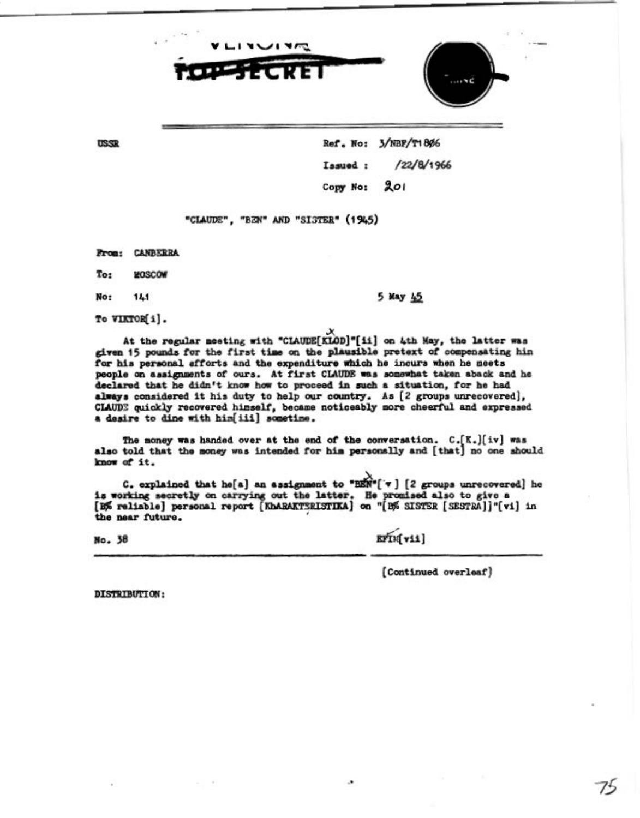



**USSR** 

Ref. No: 3/NBF/T1806 /22/8/1966 Issued: Copy No: 201

"CLAUDE", "BZN" AND "SIGTER" (1945)

**From: CANBERRA** 

**MOSCOW** To:

No: 141 5 May 45

To VIKTOR[i].

At the regular meeting with "CLAUDE[KLOD]"[ii] on 4th May, the latter was given 15 pounds for the first time on the plausible pretext of compensating hin for his personal afforts and the expenditure which he incurs when he meets people on assignments of ours. At first CLAUDE was somewhat taken aback and he declared that he didn't know how to proceed in such a situation, for he had always considered it his duty to help our country. As [2 groups unrecovered], CLAUDE quickly recovered himself, became noticeably more cheerful and expressed a desire to dine with him[iii] sometime.

The money was handed over at the end of the conversation.  $C_{\bullet}[K_{\bullet}][iv]$  was also told that the money was intended for him personally and [that] no one should know of it.

C. explained that he[a] an assignment to "BEN"[ $\tau$ ] [2 groups unrecovered] he is working secretly on carrying out the latter. He promised also to give a [B% reliable] personal report [KhARAKTSRISTIKA] on "[B% SISTER [SESTRA]]"[vi] in the near future.

No. 38

EFIM vii]

[Continued overleaf]

DISTRIBUTION: